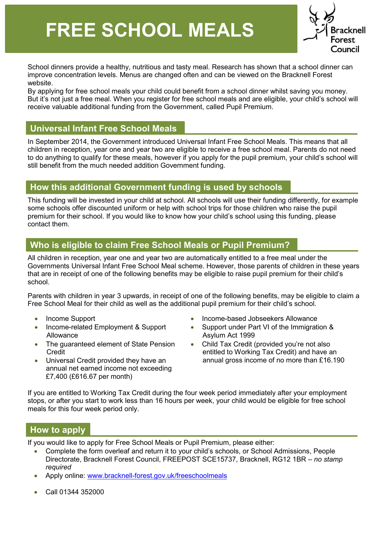# **FREE SCHOOL MEALS**



School dinners provide a healthy, nutritious and tasty meal. Research has shown that a school dinner can improve concentration levels. Menus are changed often and can be viewed on the Bracknell Forest website.

 But it's not just a free meal. When you register for free school meals and are eligible, your child's school will By applying for free school meals your child could benefit from a school dinner whilst saving you money. receive valuable additional funding from the Government, called Pupil Premium.

### **Universal Infant Free School Meals**

 to do anything to qualify for these meals, however if you apply for the pupil premium, your child's school will In September 2014, the Government introduced Universal Infant Free School Meals. This means that all children in reception, year one and year two are eligible to receive a free school meal. Parents do not need still benefit from the much needed addition Government funding.

#### **How this additional Government funding is used by schools**

 premium for their school. If you would like to know how your child's school using this funding, please This funding will be invested in your child at school. All schools will use their funding differently, for example some schools offer discounted uniform or help with school trips for those children who raise the pupil contact them.

# **Who is eligible to claim Free School Meals or Pupil Premium?**

 that are in receipt of one of the following benefits may be eligible to raise pupil premium for their child's All children in reception, year one and year two are automatically entitled to a free meal under the Governments Universal Infant Free School Meal scheme. However, those parents of children in these years school.

 Free School Meal for their child as well as the additional pupil premium for their child's school. Parents with children in year 3 upwards, in receipt of one of the following benefits, may be eligible to claim a

- 
- Allowance **Allowance** Asylum Act 1999
- The guaranteed element of State Pension Child Tax Credit (provided you're not also
- annual net earned income not exceeding £7,400 (£616.67 per month)
- Income Support Income-based Jobseekers Allowance
- Income-related Employment & Support Support under Part VI of the Immigration &
	- Credit entitled to Working Tax Credit) and have an Universal Credit provided they have an annual gross income of no more than £16.190

If you are entitled to Working Tax Credit during the four week period immediately after your employment stops, or after you start to work less than 16 hours per week, your child would be eligible for free school meals for this four week period only.

## **How to apply**

If you would like to apply for Free School Meals or Pupil Premium, please either:

- • Complete the form overleaf and return it to your child's schools, or School Admissions, People Directorate, Bracknell Forest Council, FREEPOST SCE15737, Bracknell, RG12 1BR – *no stamp required*
- Apply online: [www.bracknell-forest.gov.uk/freeschoolmeals](http://www.bracknell-forest.gov.uk/freeschoolmeals)
- Call 01344 352000